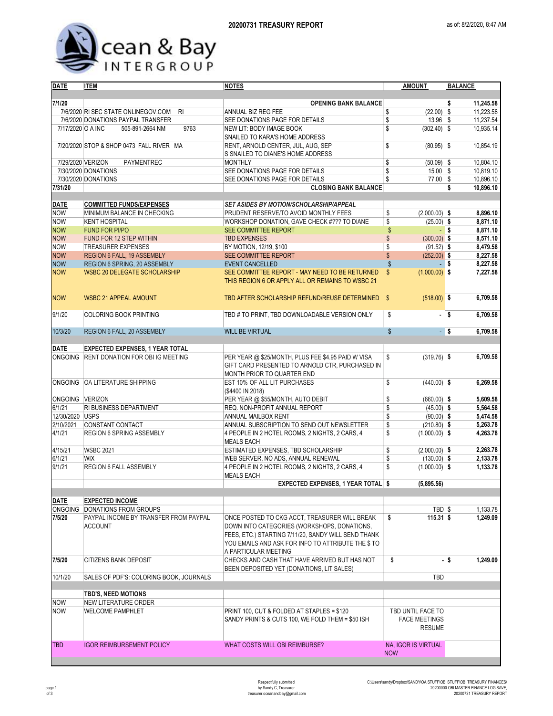

| <b>DATE</b>       | <b>ITEM</b>                                             | <b>NOTES</b>                                                                                                                                                                                                                      | <b>AMOUNT</b>                                              | <b>BALANCE</b>       |  |  |  |
|-------------------|---------------------------------------------------------|-----------------------------------------------------------------------------------------------------------------------------------------------------------------------------------------------------------------------------------|------------------------------------------------------------|----------------------|--|--|--|
|                   |                                                         |                                                                                                                                                                                                                                   |                                                            |                      |  |  |  |
| 7/1/20            |                                                         | <b>OPENING BANK BALANCE</b>                                                                                                                                                                                                       |                                                            | 11,245.58<br>\$      |  |  |  |
|                   | 7/6/2020 RI SEC STATE ONLINEGOV.COM<br>R <sub>l</sub>   | ANNUAL BIZ REG FEE                                                                                                                                                                                                                | \$<br>$(22.00)$ \$                                         | 11,223.58            |  |  |  |
|                   | 7/6/2020 DONATIONS PAYPAL TRANSFER                      | SEE DONATIONS PAGE FOR DETAILS                                                                                                                                                                                                    | \$<br>13.96                                                | 11,237.54<br>\$      |  |  |  |
| 7/17/2020 O A INC | 9763<br>505-891-2664 NM                                 | NEW LIT: BODY IMAGE BOOK<br>SNAILED TO KARA'S HOME ADDRESS                                                                                                                                                                        | \$<br>$(302.40)$ \$                                        | 10,935.14            |  |  |  |
|                   | 7/20/2020 STOP & SHOP 0473 FALL RIVER MA                | RENT, ARNOLD CENTER, JUL, AUG, SEP<br>S SNAILED TO DIANE'S HOME ADDRESS                                                                                                                                                           | \$<br>$(80.95)$ \$                                         | 10.854.19            |  |  |  |
|                   | 7/29/2020 VERIZON<br>PAYMENTREC                         | <b>MONTHLY</b>                                                                                                                                                                                                                    | \$<br>$(50.09)$ \$                                         | 10,804.10            |  |  |  |
|                   | 7/30/2020 DONATIONS                                     | SEE DONATIONS PAGE FOR DETAILS                                                                                                                                                                                                    | \$<br>$15.00$ \$                                           | 10,819.10            |  |  |  |
|                   | 7/30/2020 DONATIONS                                     | SEE DONATIONS PAGE FOR DETAILS                                                                                                                                                                                                    | \$<br>$77.00$ \$                                           | 10.896.10            |  |  |  |
| 7/31/20           |                                                         | <b>CLOSING BANK BALANCE</b>                                                                                                                                                                                                       |                                                            | \$<br>10,896.10      |  |  |  |
|                   |                                                         |                                                                                                                                                                                                                                   |                                                            |                      |  |  |  |
| <b>DATE</b>       | <b>COMMITTED FUNDS/EXPENSES</b>                         | <b>SET ASIDES BY MOTION/SCHOLARSHIP/APPEAL</b>                                                                                                                                                                                    |                                                            |                      |  |  |  |
| <b>NOW</b>        | MINIMUM BALANCE IN CHECKING                             | PRUDENT RESERVE/TO AVOID MONTHLY FEES                                                                                                                                                                                             | $(2,000.00)$ \$<br>\$                                      | 8,896.10             |  |  |  |
| <b>NOW</b>        | <b>KENT HOSPITAL</b>                                    | WORKSHOP DONATION, GAVE CHECK #??? TO DIANE                                                                                                                                                                                       | \$<br>$(25.00)$ \$                                         | 8,871.10             |  |  |  |
| <b>NOW</b>        | <b>FUND FOR PI/PO</b>                                   | SEE COMMITTEE REPORT                                                                                                                                                                                                              | \$                                                         | 8,871.10<br>- \$     |  |  |  |
| <b>NOW</b>        | FUND FOR 12 STEP WITHIN                                 | <b>TBD EXPENSES</b>                                                                                                                                                                                                               | \$<br>$(300.00)$ \$                                        | 8,571.10             |  |  |  |
| <b>NOW</b>        | <b>TREASURER EXPENSES</b>                               | BY MOTION, 12/19, \$100                                                                                                                                                                                                           | \$<br>$(91.52)$ \$                                         | 8,479.58             |  |  |  |
| <b>NOW</b>        | REGION 6 FALL, 19 ASSEMBLY                              | SEE COMMITTEE REPORT                                                                                                                                                                                                              | \$<br>$(252.00)$ \$                                        | 8,227.58             |  |  |  |
| <b>NOW</b>        | REGION 6 SPRING, 20 ASSEMBLY                            | <b>EVENT CANCELLED</b>                                                                                                                                                                                                            | \$                                                         | 8,227.58<br>- \$     |  |  |  |
| <b>NOW</b>        | <b>WSBC 20 DELEGATE SCHOLARSHIP</b>                     | SEE COMMITTEE REPORT - MAY NEED TO BE RETURNED                                                                                                                                                                                    | \$<br>$(1,000.00)$ \$                                      | 7,227.58             |  |  |  |
|                   |                                                         | THIS REGION 6 OR APPLY ALL OR REMAINS TO WSBC 21                                                                                                                                                                                  |                                                            |                      |  |  |  |
| <b>NOW</b>        | <b>WSBC 21 APPEAL AMOUNT</b>                            | TBD AFTER SCHOLARSHIP REFUND/REUSE DETERMINED \$                                                                                                                                                                                  | $(518.00)$ \$                                              | 6,709.58             |  |  |  |
| 9/1/20            | <b>COLORING BOOK PRINTING</b>                           | TBD # TO PRINT, TBD DOWNLOADABLE VERSION ONLY                                                                                                                                                                                     | \$<br>ä,                                                   | <b>S</b><br>6,709.58 |  |  |  |
| 10/3/20           | REGION 6 FALL, 20 ASSEMBLY                              | <b>WILL BE VIRTUAL</b>                                                                                                                                                                                                            | \$                                                         | $-$ \$<br>6,709.58   |  |  |  |
|                   |                                                         |                                                                                                                                                                                                                                   |                                                            |                      |  |  |  |
| <b>DATE</b>       | <b>EXPECTED EXPENSES, 1 YEAR TOTAL</b>                  |                                                                                                                                                                                                                                   |                                                            |                      |  |  |  |
|                   | ONGOING RENT DONATION FOR OBI IG MEETING                | PER YEAR @ \$25/MONTH, PLUS FEE \$4.95 PAID W VISA<br>GIFT CARD PRESENTED TO ARNOLD CTR, PURCHASED IN<br>MONTH PRIOR TO QUARTER END                                                                                               | \$<br>$(319.76)$ \$                                        | 6,709.58             |  |  |  |
|                   | ONGOING OA LITERATURE SHIPPING                          | EST 10% OF ALL LIT PURCHASES<br>(\$4400 IN 2018)                                                                                                                                                                                  | \$<br>$(440.00)$ \$                                        | 6,269.58             |  |  |  |
| ONGOING VERIZON   |                                                         | PER YEAR @ \$55/MONTH, AUTO DEBIT                                                                                                                                                                                                 | \$<br>$(660.00)$ \$                                        | 5,609.58             |  |  |  |
| 6/1/21            | RI BUSINESS DEPARTMENT                                  | REQ. NON-PROFIT ANNUAL REPORT                                                                                                                                                                                                     | \$<br>$(45.00)$ \$                                         | 5,564.58             |  |  |  |
| 12/30/2020 USPS   |                                                         | ANNUAL MAILBOX RENT                                                                                                                                                                                                               | \$<br>$(90.00)$ \$                                         | 5,474.58             |  |  |  |
| 2/10/2021         | CONSTANT CONTACT                                        | ANNUAL SUBSCRIPTION TO SEND OUT NEWSLETTER                                                                                                                                                                                        | \$<br>$(210.80)$ \$                                        | 5,263.78             |  |  |  |
| 4/1/21            | <b>REGION 6 SPRING ASSEMBLY</b>                         | 4 PEOPLE IN 2 HOTEL ROOMS, 2 NIGHTS, 2 CARS, 4<br><b>MEALS EACH</b>                                                                                                                                                               | \$<br>$(1,000.00)$ \$                                      | 4,263.78             |  |  |  |
| 4/15/21           | <b>WSBC 2021</b>                                        | ESTIMATED EXPENSES, TBD SCHOLARSHIP                                                                                                                                                                                               | \$<br>$(2,000.00)$ \$                                      | 2,263.78             |  |  |  |
| 6/1/21            | <b>WIX</b>                                              | WEB SERVER, NO ADS, ANNUAL RENEWAL                                                                                                                                                                                                | \$<br>$(130.00)$ \$                                        | 2,133.78             |  |  |  |
| 9/1/21            | REGION 6 FALL ASSEMBLY                                  | 4 PEOPLE IN 2 HOTEL ROOMS, 2 NIGHTS, 2 CARS, 4<br><b>MEALS EACH</b>                                                                                                                                                               | \$<br>$(1,000.00)$ \$                                      | 1,133.78             |  |  |  |
|                   |                                                         | EXPECTED EXPENSES, 1 YEAR TOTAL \$                                                                                                                                                                                                | (5,895.56)                                                 |                      |  |  |  |
|                   |                                                         |                                                                                                                                                                                                                                   |                                                            |                      |  |  |  |
| <b>DATE</b>       | <b>EXPECTED INCOME</b>                                  |                                                                                                                                                                                                                                   |                                                            |                      |  |  |  |
|                   | ONGOING DONATIONS FROM GROUPS                           |                                                                                                                                                                                                                                   | TBD \$                                                     | 1,133.78             |  |  |  |
| 7/5/20            | PAYPAL INCOME BY TRANSFER FROM PAYPAL<br><b>ACCOUNT</b> | ONCE POSTED TO CKG ACCT, TREASURER WILL BREAK<br>DOWN INTO CATEGORIES (WORKSHOPS, DONATIONS,<br>FEES, ETC.) STARTING 7/11/20, SANDY WILL SEND THANK<br>YOU EMAILS AND ASK FOR INFO TO ATTRIBUTE THE \$ TO<br>A PARTICULAR MEETING | \$<br>$115.31$ \$                                          | 1,249.09             |  |  |  |
| 7/5/20            | <b>CITIZENS BANK DEPOSIT</b>                            | CHECKS AND CASH THAT HAVE ARRIVED BUT HAS NOT<br>BEEN DEPOSITED YET (DONATIONS, LIT SALES)                                                                                                                                        | \$                                                         | - S<br>1,249.09      |  |  |  |
| 10/1/20           | SALES OF PDF'S: COLORING BOOK, JOURNALS                 |                                                                                                                                                                                                                                   | TBD                                                        |                      |  |  |  |
|                   |                                                         |                                                                                                                                                                                                                                   |                                                            |                      |  |  |  |
|                   | <b>TBD'S, NEED MOTIONS</b>                              |                                                                                                                                                                                                                                   |                                                            |                      |  |  |  |
| <b>NOW</b>        | NEW LITERATURE ORDER                                    |                                                                                                                                                                                                                                   |                                                            |                      |  |  |  |
| <b>NOW</b>        | <b>WELCOME PAMPHLET</b>                                 | PRINT 100, CUT & FOLDED AT STAPLES = \$120<br>SANDY PRINTS & CUTS 100, WE FOLD THEM = \$50 ISH                                                                                                                                    | TBD UNTIL FACE TO<br><b>FACE MEETINGS</b><br><b>RESUME</b> |                      |  |  |  |
| <b>TBD</b>        | <b>IGOR REIMBURSEMENT POLICY</b>                        | WHAT COSTS WILL OBI REIMBURSE?                                                                                                                                                                                                    | NA, IGOR IS VIRTUAL                                        |                      |  |  |  |
|                   |                                                         |                                                                                                                                                                                                                                   | <b>NOW</b>                                                 |                      |  |  |  |
|                   |                                                         |                                                                                                                                                                                                                                   |                                                            |                      |  |  |  |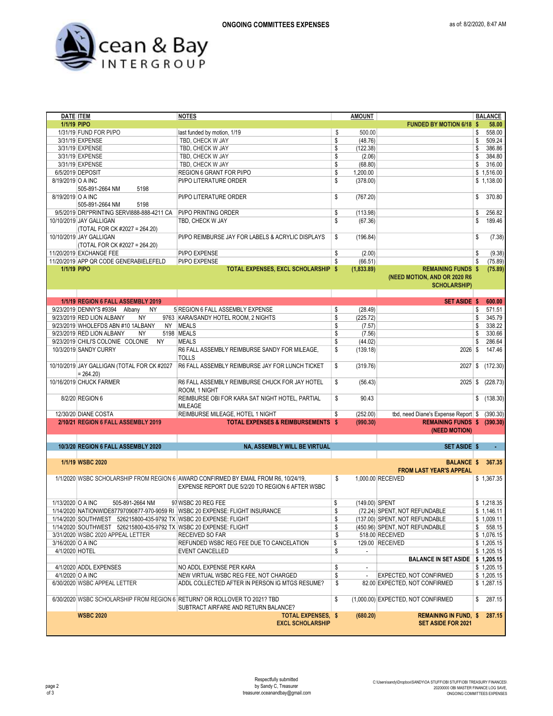

| <b>DATE ITEM</b>  |                                                                   | <b>NOTES</b>                                                                        | <b>AMOUNT</b>                  |                                     | <b>BALANCE</b>          |
|-------------------|-------------------------------------------------------------------|-------------------------------------------------------------------------------------|--------------------------------|-------------------------------------|-------------------------|
| 1/1/19 PIPO       |                                                                   |                                                                                     |                                | <b>FUNDED BY MOTION 6/18 \$</b>     | 58.00                   |
|                   | 1/31/19 FUND FOR PI/PO                                            | last funded by motion, 1/19                                                         | \$<br>500.00                   |                                     | \$<br>558.00            |
|                   | 3/31/19 EXPENSE                                                   | TBD, CHECK W JAY                                                                    | \$<br>(48.76)                  |                                     | \$<br>509.24            |
|                   | 3/31/19 EXPENSE                                                   | TBD, CHECK W JAY                                                                    | \$<br>(122.38)                 |                                     | \$<br>386.86            |
|                   | 3/31/19 EXPENSE                                                   | TBD, CHECK W JAY                                                                    | \$<br>(2.06)                   |                                     | \$<br>384.80            |
|                   | 3/31/19 EXPENSE                                                   | TBD, CHECK W JAY                                                                    | \$<br>(68.80)                  |                                     | \$<br>316.00            |
|                   |                                                                   |                                                                                     |                                |                                     |                         |
|                   | 6/5/2019 DEPOSIT                                                  | REGION 6 GRANT FOR PI/PO                                                            | \$<br>1,200.00                 |                                     | \$1,516.00              |
| 8/19/2019 O A INC |                                                                   | PI/PO LITERATURE ORDER                                                              | \$<br>(378.00)                 |                                     | \$1,138.00              |
|                   | 505-891-2664 NM<br>5198                                           |                                                                                     |                                |                                     |                         |
| 8/19/2019 O A INC |                                                                   | PI/PO LITERATURE ORDER                                                              | \$<br>(767.20)                 |                                     | \$<br>370.80            |
|                   | 505-891-2664 NM<br>5198                                           |                                                                                     |                                |                                     |                         |
|                   | 9/5/2019 DRI*PRINTING SERVI888-888-4211 CA                        | <b>PI/PO PRINTING ORDER</b>                                                         | \$<br>(113.98)                 |                                     | \$<br>256.82            |
|                   | 10/10/2019 JAY GALLIGAN                                           | TBD. CHECK W JAY                                                                    | \$<br>(67.36)                  |                                     | \$<br>189.46            |
|                   | (TOTAL FOR CK #2027 = 264.20)                                     |                                                                                     |                                |                                     |                         |
|                   | 10/10/2019 JAY GALLIGAN                                           | PI/PO REIMBURSE JAY FOR LABELS & ACRYLIC DISPLAYS                                   | \$<br>(196.84)                 |                                     | \$<br>(7.38)            |
|                   | (TOTAL FOR CK #2027 = 264.20)                                     |                                                                                     |                                |                                     |                         |
|                   |                                                                   |                                                                                     |                                |                                     |                         |
|                   | 11/20/2019 EXCHANGE FEE                                           | PI/PO EXPENSE                                                                       | \$<br>(2.00)                   |                                     | \$<br>(9.38)            |
|                   | 11/20/2019 APP QR CODE GENERABIELEFELD                            | PI/PO EXPENSE                                                                       | \$<br>(66.51)                  |                                     | \$<br>(75.89)           |
| 1/1/19 PIPO       |                                                                   | TOTAL EXPENSES, EXCL SCHOLARSHIP \$                                                 | (1,833.89)                     | <b>REMAINING FUNDS \$</b>           | (75.89)                 |
|                   |                                                                   |                                                                                     |                                | (NEED MOTION, AND OR 2020 R6        |                         |
|                   |                                                                   |                                                                                     |                                | <b>SCHOLARSHIP)</b>                 |                         |
|                   |                                                                   |                                                                                     |                                |                                     |                         |
|                   | 1/1/19 REGION 6 FALL ASSEMBLY 2019                                |                                                                                     |                                | SET ASIDE \$                        | 600.00                  |
|                   | 9/23/2019 DENNY'S #9394 Albany<br>NY.                             | 5 REGION 6 FALL ASSEMBLY EXPENSE                                                    | \$<br>(28.49)                  |                                     | \$<br>571.51            |
|                   | <b>NY</b><br>9/23/2019 RED LION ALBANY                            | 9763 KARA/SANDY HOTEL ROOM, 2 NIGHTS                                                | \$<br>(225.72)                 |                                     | \$<br>345.79            |
|                   | 9/23/2019 WHOLEFDS ABN #10 1ALBANY                                | NY MEALS                                                                            | \$<br>(7.57)                   |                                     | \$<br>338.22            |
|                   | 9/23/2019 RED LION ALBANY                                         | 5198 MEALS                                                                          |                                |                                     | \$<br>330.66            |
|                   | NY                                                                |                                                                                     | \$<br>(7.56)                   |                                     |                         |
|                   | 9/23/2019 CHILI'S COLONIE COLONIE<br>NY.                          | <b>MEALS</b>                                                                        | \$<br>(44.02)                  |                                     | \$<br>286.64            |
|                   | 10/3/2019 SANDY CURRY                                             | R6 FALL ASSEMBLY REIMBURSE SANDY FOR MILEAGE,                                       | \$<br>(139.18)                 | $2026$ \$                           | 147.46                  |
|                   |                                                                   | <b>TOLLS</b>                                                                        |                                |                                     |                         |
|                   | 10/10/2019 JAY GALLIGAN (TOTAL FOR CK #2027                       | R6 FALL ASSEMBLY REIMBURSE JAY FOR LUNCH TICKET                                     | \$<br>(319.76)                 | 2027                                | \$<br>(172.30)          |
|                   | $= 264.20$                                                        |                                                                                     |                                |                                     |                         |
|                   | 10/16/2019 CHUCK FARMER                                           | R6 FALL ASSEMBLY REIMBURSE CHUCK FOR JAY HOTEL                                      | \$<br>(56.43)                  | 2025                                | \$<br>(228.73)          |
|                   |                                                                   | ROOM, 1 NIGHT                                                                       |                                |                                     |                         |
|                   | 8/2/20 REGION 6                                                   | REIMBURSE OBI FOR KARA SAT NIGHT HOTEL, PARTIAL                                     | \$<br>90.43                    |                                     | $\overline{1}$ (138.30) |
|                   |                                                                   | MILEAGE                                                                             |                                |                                     |                         |
|                   |                                                                   |                                                                                     | \$                             |                                     |                         |
|                   | 12/30/20 DIANE COSTA                                              | REIMBURSE MILEAGE, HOTEL 1 NIGHT                                                    | (252.00)                       | tbd, need Diane's Expense Report \$ | (390.30)                |
|                   | 2/10/21 REGION 6 FALL ASSEMBLY 2019                               | <b>TOTAL EXPENSES &amp; REIMBURSEMENTS \$</b>                                       | (990.30)                       | REMAINING FUNDS \$ (390.30)         |                         |
|                   |                                                                   |                                                                                     |                                | (NEED MOTION)                       |                         |
|                   |                                                                   |                                                                                     |                                |                                     |                         |
|                   | 10/3/20 REGION 6 FALL ASSEMBLY 2020                               | NA, ASSEMBLY WILL BE VIRTUAL                                                        |                                | <b>SET ASIDE \$</b>                 |                         |
|                   |                                                                   |                                                                                     |                                |                                     |                         |
|                   | 1/1/19 WSBC 2020                                                  |                                                                                     |                                | <b>BALANCE \$</b>                   | 367.35                  |
|                   |                                                                   |                                                                                     |                                | <b>FROM LAST YEAR'S APPEAL</b>      |                         |
|                   |                                                                   | 1/1/2020 WSBC SCHOLARSHIP FROM REGION 6 AWARD CONFIRMED BY EMAIL FROM R6, 10/24/19, | \$                             | 1.000.00 RECEIVED                   | \$1,367.35              |
|                   |                                                                   | EXPENSE REPORT DUE 5/2/20 TO REGION 6 AFTER WSBC                                    |                                |                                     |                         |
|                   |                                                                   |                                                                                     |                                |                                     |                         |
| 1/13/2020 O A INC | 505-891-2664 NM                                                   |                                                                                     | \$<br>(149.00) SPENT           |                                     |                         |
|                   |                                                                   | 97 WSBC 20 REG FEE                                                                  |                                |                                     | \$1,218.35              |
|                   |                                                                   | 1/14/2020 NATIONWIDE87797090877-970-9059 RI WSBC 20 EXPENSE: FLIGHT INSURANCE       | \$                             | (72.24) SPENT, NOT REFUNDABLE       | \$1,146.11              |
|                   | 1/14/2020 SOUTHWEST 526215800-435-9792 TX WSBC 20 EXPENSE: FLIGHT |                                                                                     | \$                             | (137.00) SPENT, NOT REFUNDABLE      | \$1,009.11              |
|                   | 1/14/2020 SOUTHWEST 526215800-435-9792 TX WSBC 20 EXPENSE: FLIGHT |                                                                                     | \$                             | (450.96) SPENT, NOT REFUNDABLE      | \$558.15                |
|                   | 3/31/2020 WSBC 2020 APPEAL LETTER                                 | RECEIVED SO FAR                                                                     | \$                             | 518.00 RECEIVED                     | \$1,076.15              |
| 3/16/2020 O A INC |                                                                   | REFUNDED WSBC REG FEE DUE TO CANCELATION                                            | \$                             | 129.00 RECEIVED                     | \$1,205.15              |
| 4/1/2020 HOTEL    |                                                                   | <b>EVENT CANCELLED</b>                                                              | \$<br>$\overline{\phantom{a}}$ |                                     | \$1,205.15              |
|                   |                                                                   |                                                                                     |                                | <b>BALANCE IN SET ASIDE</b>         | \$1,205.15              |
|                   | 4/1/2020 ADDL EXPENSES                                            | NO ADDL EXPENSE PER KARA                                                            | \$<br>$\overline{\phantom{a}}$ |                                     | \$1,205.15              |
| 4/1/2020 O A INC  |                                                                   | NEW VIRTUAL WSBC REG FEE, NOT CHARGED                                               | \$<br>ä,                       | EXPECTED, NOT CONFIRMED             | \$1,205.15              |
|                   | 6/30/2020 WSBC APPEAL LETTER                                      | ADDL COLLECTED AFTER IN PERSON IG MTGS RESUME?                                      | \$                             | 82.00 EXPECTED, NOT CONFIRMED       | \$1,287.15              |
|                   |                                                                   |                                                                                     |                                |                                     |                         |
|                   |                                                                   |                                                                                     |                                |                                     | 287.15                  |
|                   |                                                                   | 6/30/2020 WSBC SCHOLARSHIP FROM REGION 6 RETURN? OR ROLLOVER TO 2021? TBD           | \$                             | (1,000.00) EXPECTED, NOT CONFIRMED  | \$                      |
|                   |                                                                   | SUBTRACT AIRFARE AND RETURN BALANCE?                                                |                                |                                     |                         |
|                   | <b>WSBC 2020</b>                                                  | <b>TOTAL EXPENSES. \$</b>                                                           | (680.20)                       | <b>REMAINING IN FUND. \$</b>        | 287.15                  |
|                   |                                                                   | <b>EXCL SCHOLARSHIP</b>                                                             |                                | <b>SET ASIDE FOR 2021</b>           |                         |